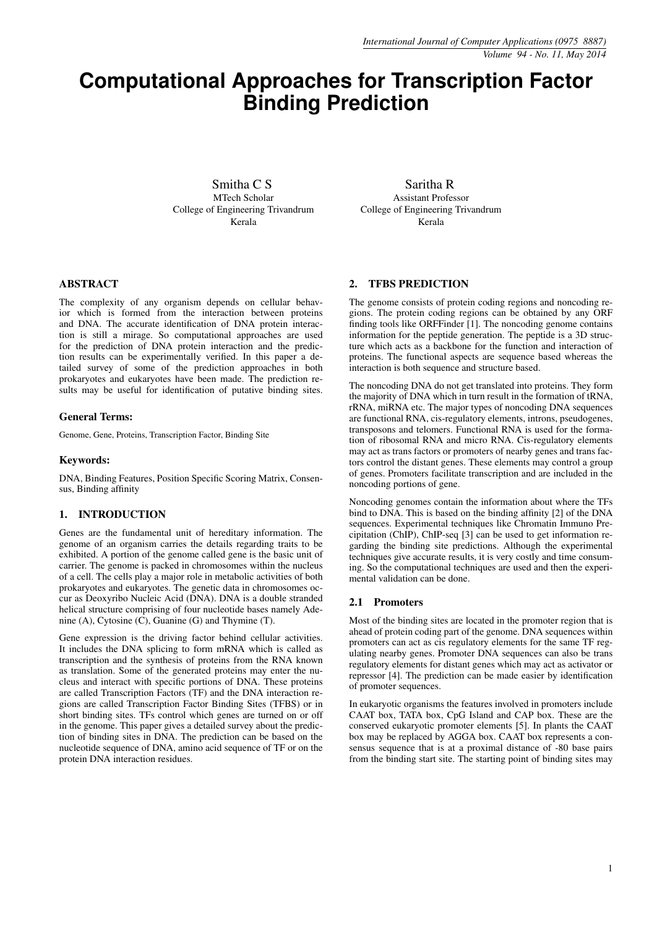# **Computational Approaches for Transcription Factor Binding Prediction**

Smitha C S MTech Scholar College of Engineering Trivandrum Kerala

Saritha R Assistant Professor College of Engineering Trivandrum Kerala

# ABSTRACT

The complexity of any organism depends on cellular behavior which is formed from the interaction between proteins and DNA. The accurate identification of DNA protein interaction is still a mirage. So computational approaches are used for the prediction of DNA protein interaction and the prediction results can be experimentally verified. In this paper a detailed survey of some of the prediction approaches in both prokaryotes and eukaryotes have been made. The prediction results may be useful for identification of putative binding sites.

#### General Terms:

Genome, Gene, Proteins, Transcription Factor, Binding Site

#### Keywords:

DNA, Binding Features, Position Specific Scoring Matrix, Consensus, Binding affinity

#### 1. INTRODUCTION

Genes are the fundamental unit of hereditary information. The genome of an organism carries the details regarding traits to be exhibited. A portion of the genome called gene is the basic unit of carrier. The genome is packed in chromosomes within the nucleus of a cell. The cells play a major role in metabolic activities of both prokaryotes and eukaryotes. The genetic data in chromosomes occur as Deoxyribo Nucleic Acid (DNA). DNA is a double stranded helical structure comprising of four nucleotide bases namely Adenine (A), Cytosine (C), Guanine (G) and Thymine (T).

Gene expression is the driving factor behind cellular activities. It includes the DNA splicing to form mRNA which is called as transcription and the synthesis of proteins from the RNA known as translation. Some of the generated proteins may enter the nucleus and interact with specific portions of DNA. These proteins are called Transcription Factors (TF) and the DNA interaction regions are called Transcription Factor Binding Sites (TFBS) or in short binding sites. TFs control which genes are turned on or off in the genome. This paper gives a detailed survey about the prediction of binding sites in DNA. The prediction can be based on the nucleotide sequence of DNA, amino acid sequence of TF or on the protein DNA interaction residues.

#### 2. TFBS PREDICTION

The genome consists of protein coding regions and noncoding regions. The protein coding regions can be obtained by any ORF finding tools like ORFFinder [1]. The noncoding genome contains information for the peptide generation. The peptide is a 3D structure which acts as a backbone for the function and interaction of proteins. The functional aspects are sequence based whereas the interaction is both sequence and structure based.

The noncoding DNA do not get translated into proteins. They form the majority of DNA which in turn result in the formation of tRNA, rRNA, miRNA etc. The major types of noncoding DNA sequences are functional RNA, cis-regulatory elements, introns, pseudogenes, transposons and telomers. Functional RNA is used for the formation of ribosomal RNA and micro RNA. Cis-regulatory elements may act as trans factors or promoters of nearby genes and trans factors control the distant genes. These elements may control a group of genes. Promoters facilitate transcription and are included in the noncoding portions of gene.

Noncoding genomes contain the information about where the TFs bind to DNA. This is based on the binding affinity [2] of the DNA sequences. Experimental techniques like Chromatin Immuno Precipitation (ChIP), ChIP-seq [3] can be used to get information regarding the binding site predictions. Although the experimental techniques give accurate results, it is very costly and time consuming. So the computational techniques are used and then the experimental validation can be done.

#### 2.1 Promoters

Most of the binding sites are located in the promoter region that is ahead of protein coding part of the genome. DNA sequences within promoters can act as cis regulatory elements for the same TF regulating nearby genes. Promoter DNA sequences can also be trans regulatory elements for distant genes which may act as activator or repressor [4]. The prediction can be made easier by identification of promoter sequences.

In eukaryotic organisms the features involved in promoters include CAAT box, TATA box, CpG Island and CAP box. These are the conserved eukaryotic promoter elements [5]. In plants the CAAT box may be replaced by AGGA box. CAAT box represents a consensus sequence that is at a proximal distance of -80 base pairs from the binding start site. The starting point of binding sites may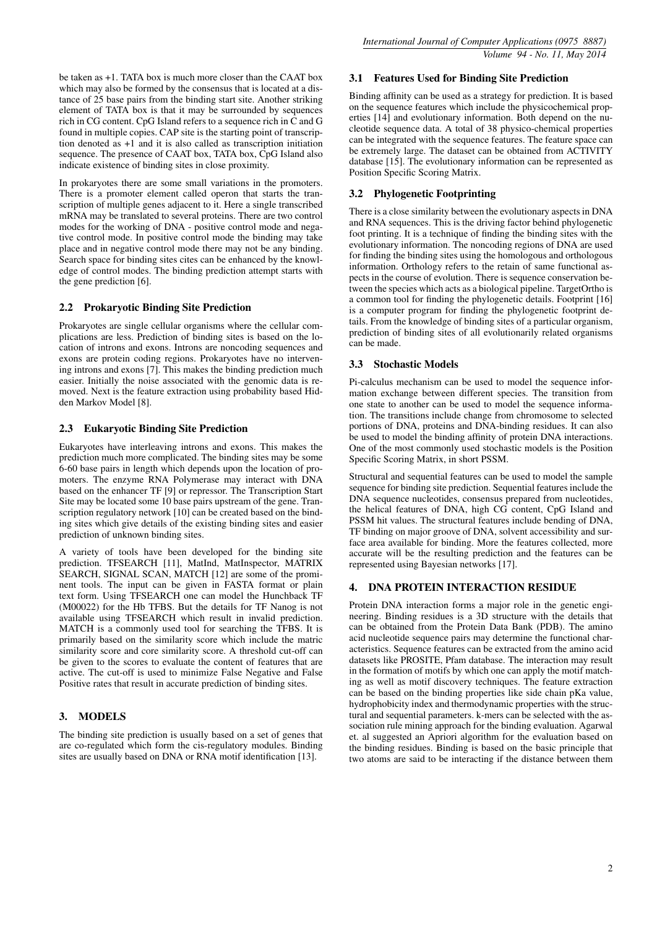be taken as +1. TATA box is much more closer than the CAAT box which may also be formed by the consensus that is located at a distance of 25 base pairs from the binding start site. Another striking element of TATA box is that it may be surrounded by sequences rich in CG content. CpG Island refers to a sequence rich in C and G found in multiple copies. CAP site is the starting point of transcription denoted as +1 and it is also called as transcription initiation sequence. The presence of CAAT box, TATA box, CpG Island also indicate existence of binding sites in close proximity.

In prokaryotes there are some small variations in the promoters. There is a promoter element called operon that starts the transcription of multiple genes adjacent to it. Here a single transcribed mRNA may be translated to several proteins. There are two control modes for the working of DNA - positive control mode and negative control mode. In positive control mode the binding may take place and in negative control mode there may not be any binding. Search space for binding sites cites can be enhanced by the knowledge of control modes. The binding prediction attempt starts with the gene prediction [6].

## 2.2 Prokaryotic Binding Site Prediction

Prokaryotes are single cellular organisms where the cellular complications are less. Prediction of binding sites is based on the location of introns and exons. Introns are noncoding sequences and exons are protein coding regions. Prokaryotes have no intervening introns and exons [7]. This makes the binding prediction much easier. Initially the noise associated with the genomic data is removed. Next is the feature extraction using probability based Hidden Markov Model [8].

# 2.3 Eukaryotic Binding Site Prediction

Eukaryotes have interleaving introns and exons. This makes the prediction much more complicated. The binding sites may be some 6-60 base pairs in length which depends upon the location of promoters. The enzyme RNA Polymerase may interact with DNA based on the enhancer TF [9] or repressor. The Transcription Start Site may be located some 10 base pairs upstream of the gene. Transcription regulatory network [10] can be created based on the binding sites which give details of the existing binding sites and easier prediction of unknown binding sites.

A variety of tools have been developed for the binding site prediction. TFSEARCH [11], MatInd, MatInspector, MATRIX SEARCH, SIGNAL SCAN, MATCH [12] are some of the prominent tools. The input can be given in FASTA format or plain text form. Using TFSEARCH one can model the Hunchback TF (M00022) for the Hb TFBS. But the details for TF Nanog is not available using TFSEARCH which result in invalid prediction. MATCH is a commonly used tool for searching the TFBS. It is primarily based on the similarity score which include the matric similarity score and core similarity score. A threshold cut-off can be given to the scores to evaluate the content of features that are active. The cut-off is used to minimize False Negative and False Positive rates that result in accurate prediction of binding sites.

# 3. MODELS

The binding site prediction is usually based on a set of genes that are co-regulated which form the cis-regulatory modules. Binding sites are usually based on DNA or RNA motif identification [13].

# 3.1 Features Used for Binding Site Prediction

Binding affinity can be used as a strategy for prediction. It is based on the sequence features which include the physicochemical properties [14] and evolutionary information. Both depend on the nucleotide sequence data. A total of 38 physico-chemical properties can be integrated with the sequence features. The feature space can be extremely large. The dataset can be obtained from ACTIVITY database [15]. The evolutionary information can be represented as Position Specific Scoring Matrix.

# 3.2 Phylogenetic Footprinting

There is a close similarity between the evolutionary aspects in DNA and RNA sequences. This is the driving factor behind phylogenetic foot printing. It is a technique of finding the binding sites with the evolutionary information. The noncoding regions of DNA are used for finding the binding sites using the homologous and orthologous information. Orthology refers to the retain of same functional aspects in the course of evolution. There is sequence conservation between the species which acts as a biological pipeline. TargetOrtho is a common tool for finding the phylogenetic details. Footprint [16] is a computer program for finding the phylogenetic footprint details. From the knowledge of binding sites of a particular organism, prediction of binding sites of all evolutionarily related organisms can be made.

# 3.3 Stochastic Models

Pi-calculus mechanism can be used to model the sequence information exchange between different species. The transition from one state to another can be used to model the sequence information. The transitions include change from chromosome to selected portions of DNA, proteins and DNA-binding residues. It can also be used to model the binding affinity of protein DNA interactions. One of the most commonly used stochastic models is the Position Specific Scoring Matrix, in short PSSM.

Structural and sequential features can be used to model the sample sequence for binding site prediction. Sequential features include the DNA sequence nucleotides, consensus prepared from nucleotides, the helical features of DNA, high CG content, CpG Island and PSSM hit values. The structural features include bending of DNA, TF binding on major groove of DNA, solvent accessibility and surface area available for binding. More the features collected, more accurate will be the resulting prediction and the features can be represented using Bayesian networks [17].

## 4. DNA PROTEIN INTERACTION RESIDUE

Protein DNA interaction forms a major role in the genetic engineering. Binding residues is a 3D structure with the details that can be obtained from the Protein Data Bank (PDB). The amino acid nucleotide sequence pairs may determine the functional characteristics. Sequence features can be extracted from the amino acid datasets like PROSITE, Pfam database. The interaction may result in the formation of motifs by which one can apply the motif matching as well as motif discovery techniques. The feature extraction can be based on the binding properties like side chain pKa value, hydrophobicity index and thermodynamic properties with the structural and sequential parameters. k-mers can be selected with the association rule mining approach for the binding evaluation. Agarwal et. al suggested an Apriori algorithm for the evaluation based on the binding residues. Binding is based on the basic principle that two atoms are said to be interacting if the distance between them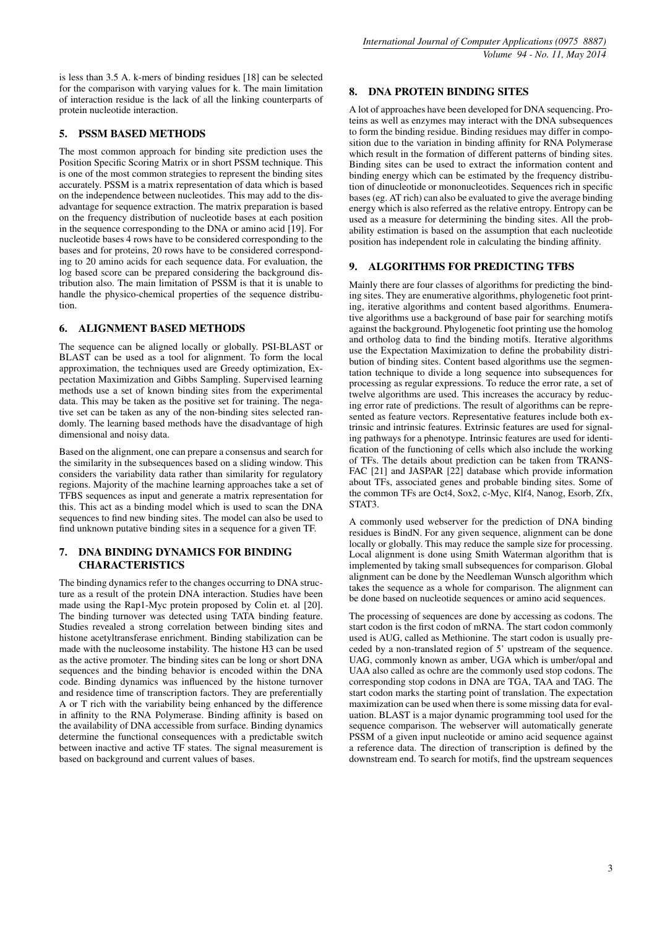is less than 3.5 A. k-mers of binding residues [18] can be selected for the comparison with varying values for k. The main limitation of interaction residue is the lack of all the linking counterparts of protein nucleotide interaction.

# 5. PSSM BASED METHODS

The most common approach for binding site prediction uses the Position Specific Scoring Matrix or in short PSSM technique. This is one of the most common strategies to represent the binding sites accurately. PSSM is a matrix representation of data which is based on the independence between nucleotides. This may add to the disadvantage for sequence extraction. The matrix preparation is based on the frequency distribution of nucleotide bases at each position in the sequence corresponding to the DNA or amino acid [19]. For nucleotide bases 4 rows have to be considered corresponding to the bases and for proteins, 20 rows have to be considered corresponding to 20 amino acids for each sequence data. For evaluation, the log based score can be prepared considering the background distribution also. The main limitation of PSSM is that it is unable to handle the physico-chemical properties of the sequence distribution.

# 6. ALIGNMENT BASED METHODS

The sequence can be aligned locally or globally. PSI-BLAST or BLAST can be used as a tool for alignment. To form the local approximation, the techniques used are Greedy optimization, Expectation Maximization and Gibbs Sampling. Supervised learning methods use a set of known binding sites from the experimental data. This may be taken as the positive set for training. The negative set can be taken as any of the non-binding sites selected randomly. The learning based methods have the disadvantage of high dimensional and noisy data.

Based on the alignment, one can prepare a consensus and search for the similarity in the subsequences based on a sliding window. This considers the variability data rather than similarity for regulatory regions. Majority of the machine learning approaches take a set of TFBS sequences as input and generate a matrix representation for this. This act as a binding model which is used to scan the DNA sequences to find new binding sites. The model can also be used to find unknown putative binding sites in a sequence for a given TF.

## 7. DNA BINDING DYNAMICS FOR BINDING CHARACTERISTICS

The binding dynamics refer to the changes occurring to DNA structure as a result of the protein DNA interaction. Studies have been made using the Rap1-Myc protein proposed by Colin et. al [20]. The binding turnover was detected using TATA binding feature. Studies revealed a strong correlation between binding sites and histone acetyltransferase enrichment. Binding stabilization can be made with the nucleosome instability. The histone H3 can be used as the active promoter. The binding sites can be long or short DNA sequences and the binding behavior is encoded within the DNA code. Binding dynamics was influenced by the histone turnover and residence time of transcription factors. They are preferentially A or T rich with the variability being enhanced by the difference in affinity to the RNA Polymerase. Binding affinity is based on the availability of DNA accessible from surface. Binding dynamics determine the functional consequences with a predictable switch between inactive and active TF states. The signal measurement is based on background and current values of bases.

## 8. DNA PROTEIN BINDING SITES

A lot of approaches have been developed for DNA sequencing. Proteins as well as enzymes may interact with the DNA subsequences to form the binding residue. Binding residues may differ in composition due to the variation in binding affinity for RNA Polymerase which result in the formation of different patterns of binding sites. Binding sites can be used to extract the information content and binding energy which can be estimated by the frequency distribution of dinucleotide or mononucleotides. Sequences rich in specific bases (eg. AT rich) can also be evaluated to give the average binding energy which is also referred as the relative entropy. Entropy can be used as a measure for determining the binding sites. All the probability estimation is based on the assumption that each nucleotide position has independent role in calculating the binding affinity.

## 9. ALGORITHMS FOR PREDICTING TFBS

Mainly there are four classes of algorithms for predicting the binding sites. They are enumerative algorithms, phylogenetic foot printing, iterative algorithms and content based algorithms. Enumerative algorithms use a background of base pair for searching motifs against the background. Phylogenetic foot printing use the homolog and ortholog data to find the binding motifs. Iterative algorithms use the Expectation Maximization to define the probability distribution of binding sites. Content based algorithms use the segmentation technique to divide a long sequence into subsequences for processing as regular expressions. To reduce the error rate, a set of twelve algorithms are used. This increases the accuracy by reducing error rate of predictions. The result of algorithms can be represented as feature vectors. Representative features include both extrinsic and intrinsic features. Extrinsic features are used for signaling pathways for a phenotype. Intrinsic features are used for identification of the functioning of cells which also include the working of TFs. The details about prediction can be taken from TRANS-FAC [21] and JASPAR [22] database which provide information about TFs, associated genes and probable binding sites. Some of the common TFs are Oct4, Sox2, c-Myc, Klf4, Nanog, Esorb, Zfx, STAT3.

A commonly used webserver for the prediction of DNA binding residues is BindN. For any given sequence, alignment can be done locally or globally. This may reduce the sample size for processing. Local alignment is done using Smith Waterman algorithm that is implemented by taking small subsequences for comparison. Global alignment can be done by the Needleman Wunsch algorithm which takes the sequence as a whole for comparison. The alignment can be done based on nucleotide sequences or amino acid sequences.

The processing of sequences are done by accessing as codons. The start codon is the first codon of mRNA. The start codon commonly used is AUG, called as Methionine. The start codon is usually preceded by a non-translated region of 5' upstream of the sequence. UAG, commonly known as amber, UGA which is umber/opal and UAA also called as ochre are the commonly used stop codons. The corresponding stop codons in DNA are TGA, TAA and TAG. The start codon marks the starting point of translation. The expectation maximization can be used when there is some missing data for evaluation. BLAST is a major dynamic programming tool used for the sequence comparison. The webserver will automatically generate PSSM of a given input nucleotide or amino acid sequence against a reference data. The direction of transcription is defined by the downstream end. To search for motifs, find the upstream sequences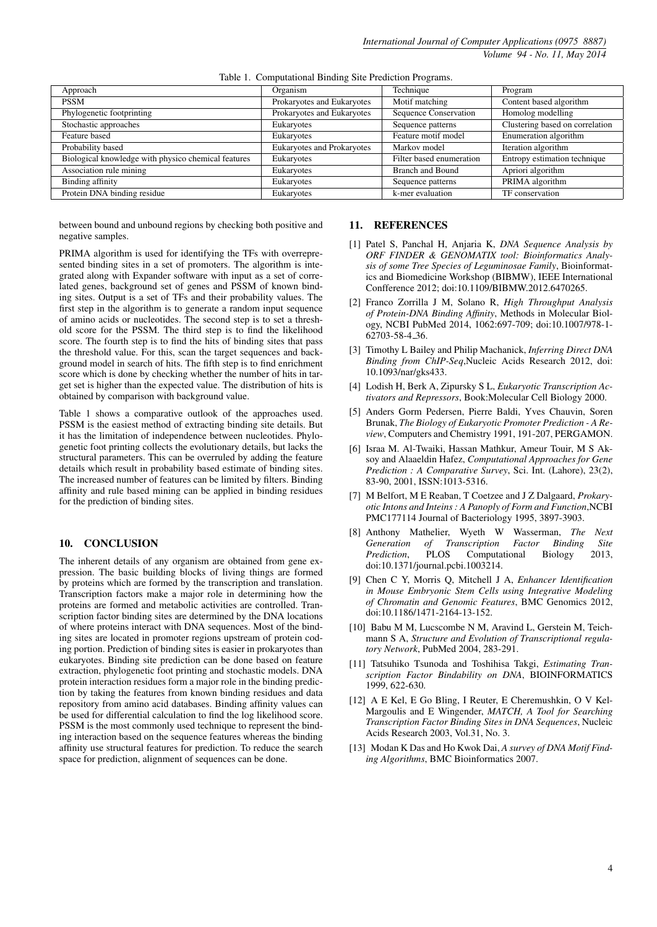| Approach                                            | Organism                   | Technique                    | Program                         |
|-----------------------------------------------------|----------------------------|------------------------------|---------------------------------|
| <b>PSSM</b>                                         | Prokaryotes and Eukaryotes | Motif matching               | Content based algorithm         |
| Phylogenetic footprinting                           | Prokaryotes and Eukaryotes | <b>Sequence Conservation</b> | Homolog modelling               |
| Stochastic approaches                               | Eukaryotes                 | Sequence patterns            | Clustering based on correlation |
| Feature based                                       | Eukaryotes                 | Feature motif model          | Enumeration algorithm           |
| Probability based                                   | Eukaryotes and Prokaryotes | Markov model                 | Iteration algorithm             |
| Biological knowledge with physico chemical features | Eukaryotes                 | Filter based enumeration     | Entropy estimation technique    |
| Association rule mining                             | Eukaryotes                 | Branch and Bound             | Apriori algorithm               |
| Binding affinity                                    | Eukaryotes                 | Sequence patterns            | PRIMA algorithm                 |
| Protein DNA binding residue                         | Eukaryotes                 | k-mer evaluation             | TF conservation                 |

Table 1. Computational Binding Site Prediction Programs.

between bound and unbound regions by checking both positive and negative samples.

PRIMA algorithm is used for identifying the TFs with overrepresented binding sites in a set of promoters. The algorithm is integrated along with Expander software with input as a set of correlated genes, background set of genes and PSSM of known binding sites. Output is a set of TFs and their probability values. The first step in the algorithm is to generate a random input sequence of amino acids or nucleotides. The second step is to set a threshold score for the PSSM. The third step is to find the likelihood score. The fourth step is to find the hits of binding sites that pass the threshold value. For this, scan the target sequences and background model in search of hits. The fifth step is to find enrichment score which is done by checking whether the number of hits in target set is higher than the expected value. The distribution of hits is obtained by comparison with background value.

Table 1 shows a comparative outlook of the approaches used. PSSM is the easiest method of extracting binding site details. But it has the limitation of independence between nucleotides. Phylogenetic foot printing collects the evolutionary details, but lacks the structural parameters. This can be overruled by adding the feature details which result in probability based estimate of binding sites. The increased number of features can be limited by filters. Binding affinity and rule based mining can be applied in binding residues for the prediction of binding sites.

# 10. CONCLUSION

The inherent details of any organism are obtained from gene expression. The basic building blocks of living things are formed by proteins which are formed by the transcription and translation. Transcription factors make a major role in determining how the proteins are formed and metabolic activities are controlled. Transcription factor binding sites are determined by the DNA locations of where proteins interact with DNA sequences. Most of the binding sites are located in promoter regions upstream of protein coding portion. Prediction of binding sites is easier in prokaryotes than eukaryotes. Binding site prediction can be done based on feature extraction, phylogenetic foot printing and stochastic models. DNA protein interaction residues form a major role in the binding prediction by taking the features from known binding residues and data repository from amino acid databases. Binding affinity values can be used for differential calculation to find the log likelihood score. PSSM is the most commonly used technique to represent the binding interaction based on the sequence features whereas the binding affinity use structural features for prediction. To reduce the search space for prediction, alignment of sequences can be done.

#### 11. REFERENCES

- [1] Patel S, Panchal H, Anjaria K, *DNA Sequence Analysis by ORF FINDER & GENOMATIX tool: Bioinformatics Analysis of some Tree Species of Leguminosae Family*, Bioinformatics and Biomedicine Workshop (BIBMW), IEEE International Confference 2012; doi:10.1109/BIBMW.2012.6470265.
- [2] Franco Zorrilla J M, Solano R, *High Throughput Analysis of Protein-DNA Binding Affinity*, Methods in Molecular Biology, NCBI PubMed 2014, 1062:697-709; doi:10.1007/978-1- 62703-58-4 36.
- [3] Timothy L Bailey and Philip Machanick, *Inferring Direct DNA Binding from ChIP-Seq*,Nucleic Acids Research 2012, doi: 10.1093/nar/gks433.
- [4] Lodish H, Berk A, Zipursky S L, *Eukaryotic Transcription Activators and Repressors*, Book:Molecular Cell Biology 2000.
- [5] Anders Gorm Pedersen, Pierre Baldi, Yves Chauvin, Soren Brunak, *The Biology of Eukaryotic Promoter Prediction - A Review*, Computers and Chemistry 1991, 191-207, PERGAMON.
- [6] Israa M. Al-Twaiki, Hassan Mathkur, Ameur Touir, M S Aksoy and Alaaeldin Hafez, *Computational Approaches for Gene Prediction : A Comparative Survey*, Sci. Int. (Lahore), 23(2), 83-90, 2001, ISSN:1013-5316.
- [7] M Belfort, M E Reaban, T Coetzee and J Z Dalgaard, *Prokaryotic Intons and Inteins : A Panoply of Form and Function*,NCBI PMC177114 Journal of Bacteriology 1995, 3897-3903.
- [8] Anthony Mathelier, Wyeth W Wasserman, *The Next Generation of Transcription Factor Binding Site Prediction*, PLOS Computational Biology 2013, doi:10.1371/journal.pcbi.1003214.
- [9] Chen C Y, Morris Q, Mitchell J A, *Enhancer Identification in Mouse Embryonic Stem Cells using Integrative Modeling of Chromatin and Genomic Features*, BMC Genomics 2012, doi:10.1186/1471-2164-13-152.
- [10] Babu M M, Lucscombe N M, Aravind L, Gerstein M, Teichmann S A, *Structure and Evolution of Transcriptional regulatory Network*, PubMed 2004, 283-291.
- [11] Tatsuhiko Tsunoda and Toshihisa Takgi, *Estimating Transcription Factor Bindability on DNA*, BIOINFORMATICS 1999, 622-630.
- [12] A E Kel, E Go Bling, I Reuter, E Cheremushkin, O V Kel-Margoulis and E Wingender, *MATCH, A Tool for Searching Transcription Factor Binding Sites in DNA Sequences*, Nucleic Acids Research 2003, Vol.31, No. 3.
- [13] Modan K Das and Ho Kwok Dai, *A survey of DNA Motif Finding Algorithms*, BMC Bioinformatics 2007.